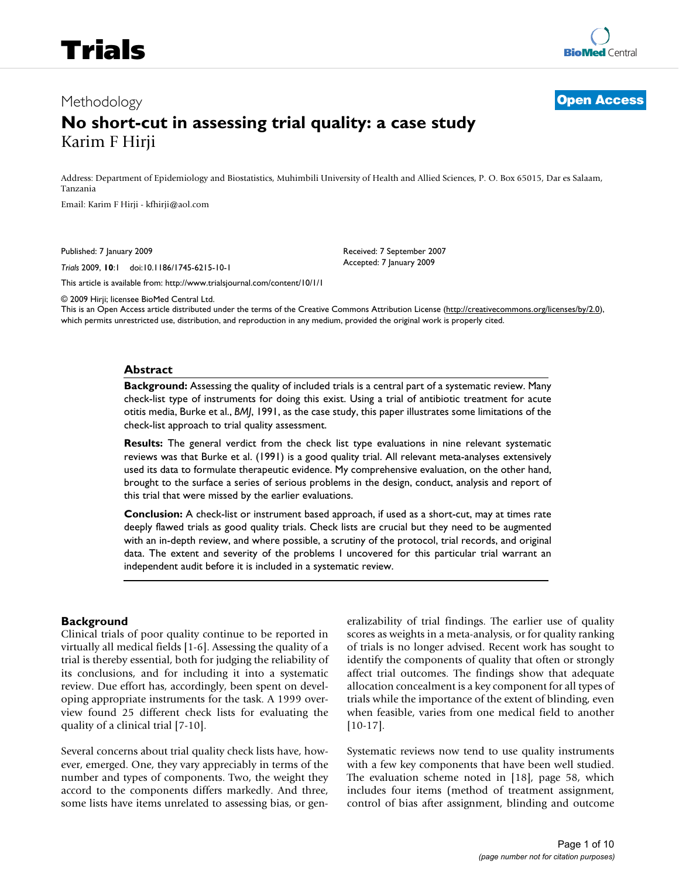# Methodology **[Open Access](http://www.biomedcentral.com/info/about/charter/) No short-cut in assessing trial quality: a case study** Karim F Hirji

Address: Department of Epidemiology and Biostatistics, Muhimbili University of Health and Allied Sciences, P. O. Box 65015, Dar es Salaam, Tanzania

Email: Karim F Hirji - kfhirji@aol.com

Published: 7 January 2009

*Trials* 2009, **10**:1 doi:10.1186/1745-6215-10-1

[This article is available from: http://www.trialsjournal.com/content/10/1/1](http://www.trialsjournal.com/content/10/1/1)

© 2009 Hirji; licensee BioMed Central Ltd.

This is an Open Access article distributed under the terms of the Creative Commons Attribution License [\(http://creativecommons.org/licenses/by/2.0\)](http://creativecommons.org/licenses/by/2.0), which permits unrestricted use, distribution, and reproduction in any medium, provided the original work is properly cited.

Received: 7 September 2007 Accepted: 7 January 2009

#### **Abstract**

**Background:** Assessing the quality of included trials is a central part of a systematic review. Many check-list type of instruments for doing this exist. Using a trial of antibiotic treatment for acute otitis media, Burke et al., *BMJ*, 1991, as the case study, this paper illustrates some limitations of the check-list approach to trial quality assessment.

**Results:** The general verdict from the check list type evaluations in nine relevant systematic reviews was that Burke et al. (1991) is a good quality trial. All relevant meta-analyses extensively used its data to formulate therapeutic evidence. My comprehensive evaluation, on the other hand, brought to the surface a series of serious problems in the design, conduct, analysis and report of this trial that were missed by the earlier evaluations.

**Conclusion:** A check-list or instrument based approach, if used as a short-cut, may at times rate deeply flawed trials as good quality trials. Check lists are crucial but they need to be augmented with an in-depth review, and where possible, a scrutiny of the protocol, trial records, and original data. The extent and severity of the problems I uncovered for this particular trial warrant an independent audit before it is included in a systematic review.

#### **Background**

Clinical trials of poor quality continue to be reported in virtually all medical fields [\[1-](#page-8-0)[6](#page-8-1)]. Assessing the quality of a trial is thereby essential, both for judging the reliability of its conclusions, and for including it into a systematic review. Due effort has, accordingly, been spent on developing appropriate instruments for the task. A 1999 overview found 25 different check lists for evaluating the quality of a clinical trial [\[7-](#page-8-2)[10](#page-8-3)].

Several concerns about trial quality check lists have, however, emerged. One, they vary appreciably in terms of the number and types of components. Two, the weight they accord to the components differs markedly. And three, some lists have items unrelated to assessing bias, or generalizability of trial findings. The earlier use of quality scores as weights in a meta-analysis, or for quality ranking of trials is no longer advised. Recent work has sought to identify the components of quality that often or strongly affect trial outcomes. The findings show that adequate allocation concealment is a key component for all types of trials while the importance of the extent of blinding, even when feasible, varies from one medical field to another [[10](#page-8-3)[-17](#page-8-4)].

Systematic reviews now tend to use quality instruments with a few key components that have been well studied. The evaluation scheme noted in [[18](#page-8-5)], page 58, which includes four items (method of treatment assignment, control of bias after assignment, blinding and outcome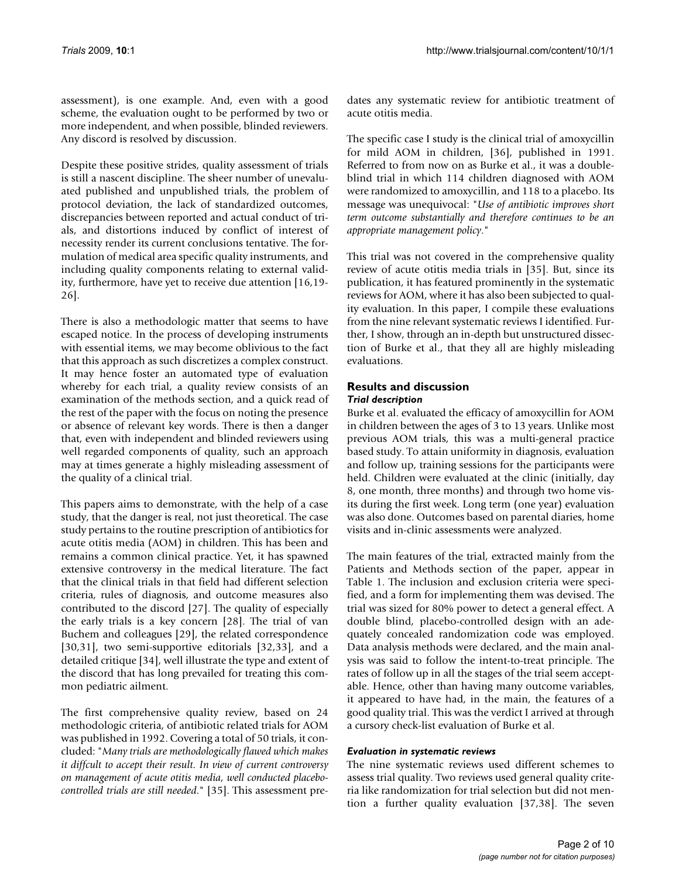assessment), is one example. And, even with a good scheme, the evaluation ought to be performed by two or more independent, and when possible, blinded reviewers. Any discord is resolved by discussion.

Despite these positive strides, quality assessment of trials is still a nascent discipline. The sheer number of unevaluated published and unpublished trials, the problem of protocol deviation, the lack of standardized outcomes, discrepancies between reported and actual conduct of trials, and distortions induced by conflict of interest of necessity render its current conclusions tentative. The formulation of medical area specific quality instruments, and including quality components relating to external validity, furthermore, have yet to receive due attention [[16,](#page-8-6)[19](#page-8-7)- [26\]](#page-9-0).

There is also a methodologic matter that seems to have escaped notice. In the process of developing instruments with essential items, we may become oblivious to the fact that this approach as such discretizes a complex construct. It may hence foster an automated type of evaluation whereby for each trial, a quality review consists of an examination of the methods section, and a quick read of the rest of the paper with the focus on noting the presence or absence of relevant key words. There is then a danger that, even with independent and blinded reviewers using well regarded components of quality, such an approach may at times generate a highly misleading assessment of the quality of a clinical trial.

This papers aims to demonstrate, with the help of a case study, that the danger is real, not just theoretical. The case study pertains to the routine prescription of antibiotics for acute otitis media (AOM) in children. This has been and remains a common clinical practice. Yet, it has spawned extensive controversy in the medical literature. The fact that the clinical trials in that field had different selection criteria, rules of diagnosis, and outcome measures also contributed to the discord [\[27\]](#page-9-1). The quality of especially the early trials is a key concern [\[28](#page-9-2)]. The trial of van Buchem and colleagues [[29](#page-9-3)], the related correspondence [[30](#page-9-4),[31\]](#page-9-5), two semi-supportive editorials [\[32](#page-9-6)[,33](#page-9-7)], and a detailed critique [[34](#page-9-8)], well illustrate the type and extent of the discord that has long prevailed for treating this common pediatric ailment.

The first comprehensive quality review, based on 24 methodologic criteria, of antibiotic related trials for AOM was published in 1992. Covering a total of 50 trials, it concluded: "*Many trials are methodologically flawed which makes it diffcult to accept their result. In view of current controversy on management of acute otitis media, well conducted placebocontrolled trials are still needed*." [\[35](#page-9-9)]. This assessment predates any systematic review for antibiotic treatment of acute otitis media.

The specific case I study is the clinical trial of amoxycillin for mild AOM in children, [\[36](#page-9-10)], published in 1991. Referred to from now on as Burke et al., it was a doubleblind trial in which 114 children diagnosed with AOM were randomized to amoxycillin, and 118 to a placebo. Its message was unequivocal: "*Use of antibiotic improves short term outcome substantially and therefore continues to be an appropriate management policy*."

This trial was not covered in the comprehensive quality review of acute otitis media trials in [\[35\]](#page-9-9). But, since its publication, it has featured prominently in the systematic reviews for AOM, where it has also been subjected to quality evaluation. In this paper, I compile these evaluations from the nine relevant systematic reviews I identified. Further, I show, through an in-depth but unstructured dissection of Burke et al., that they all are highly misleading evaluations.

# **Results and discussion** *Trial description*

Burke et al. evaluated the efficacy of amoxycillin for AOM in children between the ages of 3 to 13 years. Unlike most previous AOM trials, this was a multi-general practice based study. To attain uniformity in diagnosis, evaluation and follow up, training sessions for the participants were held. Children were evaluated at the clinic (initially, day 8, one month, three months) and through two home visits during the first week. Long term (one year) evaluation was also done. Outcomes based on parental diaries, home visits and in-clinic assessments were analyzed.

The main features of the trial, extracted mainly from the Patients and Methods section of the paper, appear in Table [1.](#page-2-0) The inclusion and exclusion criteria were specified, and a form for implementing them was devised. The trial was sized for 80% power to detect a general effect. A double blind, placebo-controlled design with an adequately concealed randomization code was employed. Data analysis methods were declared, and the main analysis was said to follow the intent-to-treat principle. The rates of follow up in all the stages of the trial seem acceptable. Hence, other than having many outcome variables, it appeared to have had, in the main, the features of a good quality trial. This was the verdict I arrived at through a cursory check-list evaluation of Burke et al.

# *Evaluation in systematic reviews*

The nine systematic reviews used different schemes to assess trial quality. Two reviews used general quality criteria like randomization for trial selection but did not mention a further quality evaluation [[37](#page-9-11),[38\]](#page-9-12). The seven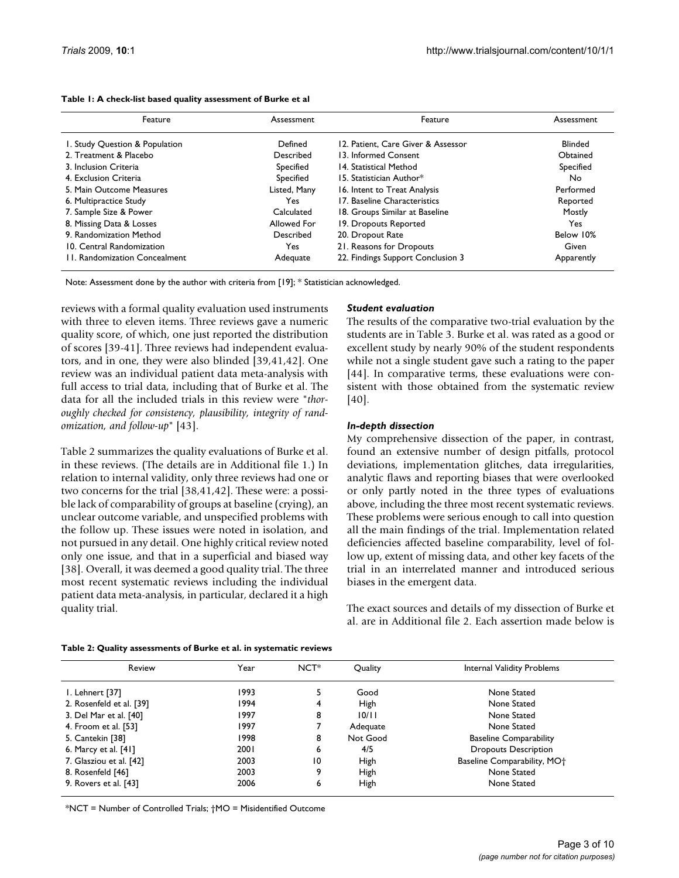<span id="page-2-0"></span>

| Feature                        | Assessment   | Feature                            | Assessment     |  |
|--------------------------------|--------------|------------------------------------|----------------|--|
| I. Study Question & Population | Defined      | 12. Patient, Care Giver & Assessor | <b>Blinded</b> |  |
| 2. Treatment & Placebo         | Described    | 13. Informed Consent               | Obtained       |  |
| 3. Inclusion Criteria          | Specified    | 14. Statistical Method             | Specified      |  |
| 4. Exclusion Criteria          | Specified    | 15. Statistician Author*           | No.            |  |
| 5. Main Outcome Measures       | Listed, Many | 16. Intent to Treat Analysis       | Performed      |  |
| 6. Multipractice Study         | Yes          | 17. Baseline Characteristics       | Reported       |  |
| 7. Sample Size & Power         | Calculated   | 18. Groups Similar at Baseline     | Mostly         |  |
| 8. Missing Data & Losses       | Allowed For  | 19. Dropouts Reported              | Yes.           |  |
| 9. Randomization Method        | Described    | 20. Dropout Rate                   | Below 10%      |  |
| 10. Central Randomization      | Yes          | 21. Reasons for Dropouts           | Given          |  |
| 11. Randomization Concealment  | Adequate     | 22. Findings Support Conclusion 3  | Apparently     |  |

Note: Assessment done by the author with criteria from [[19\]](#page-8-7); \* Statistician acknowledged.

reviews with a formal quality evaluation used instruments with three to eleven items. Three reviews gave a numeric quality score, of which, one just reported the distribution of scores [[39-](#page-9-13)[41\]](#page-9-14). Three reviews had independent evaluators, and in one, they were also blinded [\[39](#page-9-13),[41,](#page-9-14)[42\]](#page-9-15). One review was an individual patient data meta-analysis with full access to trial data, including that of Burke et al. The data for all the included trials in this review were "*thoroughly checked for consistency, plausibility, integrity of randomization, and follow-up*" [\[43](#page-9-16)].

Table [2](#page-2-1) summarizes the quality evaluations of Burke et al. in these reviews. (The details are in Additional file [1.](#page-8-8)) In relation to internal validity, only three reviews had one or two concerns for the trial [[38,](#page-9-12)[41](#page-9-14),[42](#page-9-15)]. These were: a possible lack of comparability of groups at baseline (crying), an unclear outcome variable, and unspecified problems with the follow up. These issues were noted in isolation, and not pursued in any detail. One highly critical review noted only one issue, and that in a superficial and biased way [[38](#page-9-12)]. Overall, it was deemed a good quality trial. The three most recent systematic reviews including the individual patient data meta-analysis, in particular, declared it a high quality trial.

## *Student evaluation*

The results of the comparative two-trial evaluation by the students are in Table [3](#page-3-0). Burke et al. was rated as a good or excellent study by nearly 90% of the student respondents while not a single student gave such a rating to the paper [[44](#page-9-17)]. In comparative terms, these evaluations were consistent with those obtained from the systematic review [[40](#page-9-18)].

## *In-depth dissection*

My comprehensive dissection of the paper, in contrast, found an extensive number of design pitfalls, protocol deviations, implementation glitches, data irregularities, analytic flaws and reporting biases that were overlooked or only partly noted in the three types of evaluations above, including the three most recent systematic reviews. These problems were serious enough to call into question all the main findings of the trial. Implementation related deficiencies affected baseline comparability, level of follow up, extent of missing data, and other key facets of the trial in an interrelated manner and introduced serious biases in the emergent data.

The exact sources and details of my dissection of Burke et al. are in Additional file [2](#page-8-9). Each assertion made below is

| Year | $NCT^*$ | Quality  | Internal Validity Problems              |
|------|---------|----------|-----------------------------------------|
| 1993 |         | Good     | None Stated                             |
| 1994 | 4       | High     | None Stated                             |
| 1997 | 8       | 10/11    | None Stated                             |
| 1997 |         | Adequate | None Stated                             |
| 1998 | 8       | Not Good | <b>Baseline Comparability</b>           |
| 2001 | 6       | 4/5      | <b>Dropouts Description</b>             |
| 2003 | 10      | High     | Baseline Comparability, MO <sup>+</sup> |
| 2003 | 9       | High     | None Stated                             |
| 2006 | 6       | High     | None Stated                             |
|      |         |          |                                         |

<span id="page-2-1"></span>**Table 2: Quality assessments of Burke et al. in systematic reviews**

\*NCT = Number of Controlled Trials; †MO = Misidentified Outcome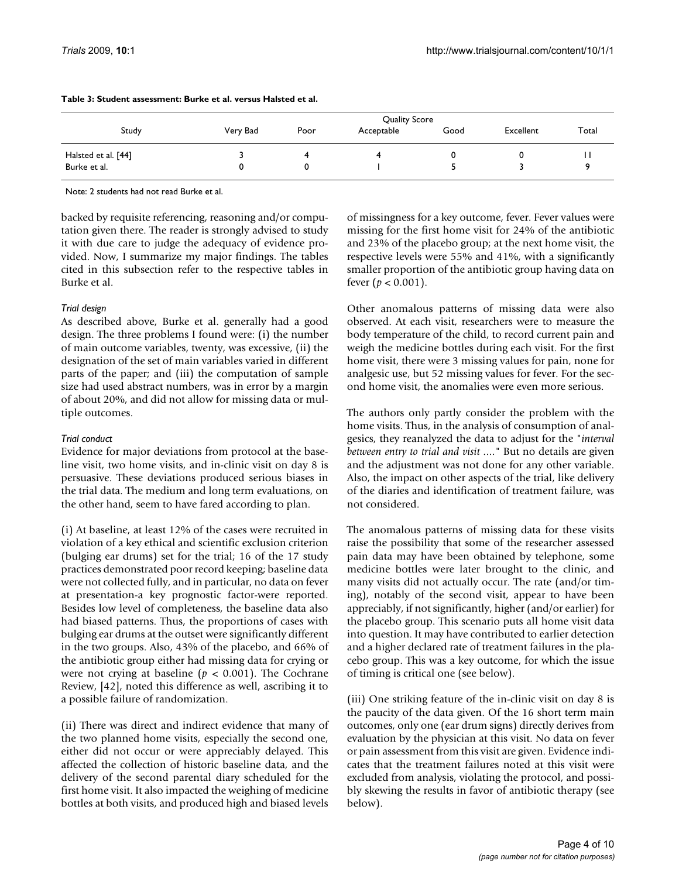|                                     | Quality Score |      |            |      |           |       |
|-------------------------------------|---------------|------|------------|------|-----------|-------|
| Study                               | Very Bad      | Poor | Acceptable | Good | Excellent | Total |
| Halsted et al. [44]<br>Burke et al. |               |      |            |      |           |       |

#### <span id="page-3-0"></span>**Table 3: Student assessment: Burke et al. versus Halsted et al.**

Note: 2 students had not read Burke et al.

backed by requisite referencing, reasoning and/or computation given there. The reader is strongly advised to study it with due care to judge the adequacy of evidence provided. Now, I summarize my major findings. The tables cited in this subsection refer to the respective tables in Burke et al.

## *Trial design*

As described above, Burke et al. generally had a good design. The three problems I found were: (i) the number of main outcome variables, twenty, was excessive, (ii) the designation of the set of main variables varied in different parts of the paper; and (iii) the computation of sample size had used abstract numbers, was in error by a margin of about 20%, and did not allow for missing data or multiple outcomes.

## *Trial conduct*

Evidence for major deviations from protocol at the baseline visit, two home visits, and in-clinic visit on day 8 is persuasive. These deviations produced serious biases in the trial data. The medium and long term evaluations, on the other hand, seem to have fared according to plan.

(i) At baseline, at least 12% of the cases were recruited in violation of a key ethical and scientific exclusion criterion (bulging ear drums) set for the trial; 16 of the 17 study practices demonstrated poor record keeping; baseline data were not collected fully, and in particular, no data on fever at presentation-a key prognostic factor-were reported. Besides low level of completeness, the baseline data also had biased patterns. Thus, the proportions of cases with bulging ear drums at the outset were significantly different in the two groups. Also, 43% of the placebo, and 66% of the antibiotic group either had missing data for crying or were not crying at baseline (*p* < 0.001). The Cochrane Review, [[42\]](#page-9-15), noted this difference as well, ascribing it to a possible failure of randomization.

(ii) There was direct and indirect evidence that many of the two planned home visits, especially the second one, either did not occur or were appreciably delayed. This affected the collection of historic baseline data, and the delivery of the second parental diary scheduled for the first home visit. It also impacted the weighing of medicine bottles at both visits, and produced high and biased levels of missingness for a key outcome, fever. Fever values were missing for the first home visit for 24% of the antibiotic and 23% of the placebo group; at the next home visit, the respective levels were 55% and 41%, with a significantly smaller proportion of the antibiotic group having data on fever (*p* < 0.001).

Other anomalous patterns of missing data were also observed. At each visit, researchers were to measure the body temperature of the child, to record current pain and weigh the medicine bottles during each visit. For the first home visit, there were 3 missing values for pain, none for analgesic use, but 52 missing values for fever. For the second home visit, the anomalies were even more serious.

The authors only partly consider the problem with the home visits. Thus, in the analysis of consumption of analgesics, they reanalyzed the data to adjust for the "*interval between entry to trial and visit ....*" But no details are given and the adjustment was not done for any other variable. Also, the impact on other aspects of the trial, like delivery of the diaries and identification of treatment failure, was not considered.

The anomalous patterns of missing data for these visits raise the possibility that some of the researcher assessed pain data may have been obtained by telephone, some medicine bottles were later brought to the clinic, and many visits did not actually occur. The rate (and/or timing), notably of the second visit, appear to have been appreciably, if not significantly, higher (and/or earlier) for the placebo group. This scenario puts all home visit data into question. It may have contributed to earlier detection and a higher declared rate of treatment failures in the placebo group. This was a key outcome, for which the issue of timing is critical one (see below).

(iii) One striking feature of the in-clinic visit on day 8 is the paucity of the data given. Of the 16 short term main outcomes, only one (ear drum signs) directly derives from evaluation by the physician at this visit. No data on fever or pain assessment from this visit are given. Evidence indicates that the treatment failures noted at this visit were excluded from analysis, violating the protocol, and possibly skewing the results in favor of antibiotic therapy (see below).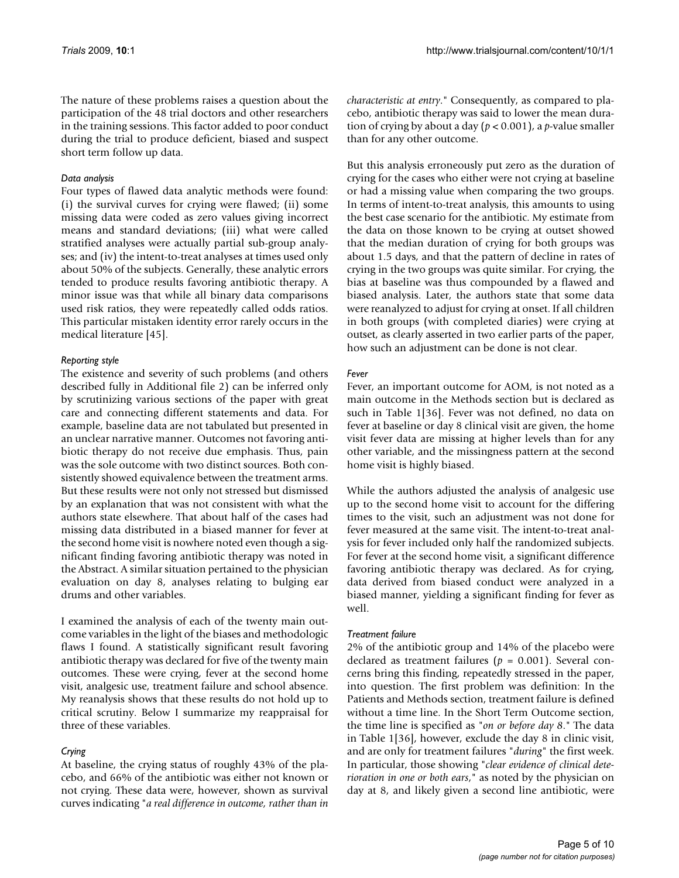The nature of these problems raises a question about the participation of the 48 trial doctors and other researchers in the training sessions. This factor added to poor conduct during the trial to produce deficient, biased and suspect short term follow up data.

## *Data analysis*

Four types of flawed data analytic methods were found: (i) the survival curves for crying were flawed; (ii) some missing data were coded as zero values giving incorrect means and standard deviations; (iii) what were called stratified analyses were actually partial sub-group analyses; and (iv) the intent-to-treat analyses at times used only about 50% of the subjects. Generally, these analytic errors tended to produce results favoring antibiotic therapy. A minor issue was that while all binary data comparisons used risk ratios, they were repeatedly called odds ratios. This particular mistaken identity error rarely occurs in the medical literature [\[45\]](#page-9-21).

#### *Reporting style*

The existence and severity of such problems (and others described fully in Additional file [2\)](#page-8-9) can be inferred only by scrutinizing various sections of the paper with great care and connecting different statements and data. For example, baseline data are not tabulated but presented in an unclear narrative manner. Outcomes not favoring antibiotic therapy do not receive due emphasis. Thus, pain was the sole outcome with two distinct sources. Both consistently showed equivalence between the treatment arms. But these results were not only not stressed but dismissed by an explanation that was not consistent with what the authors state elsewhere. That about half of the cases had missing data distributed in a biased manner for fever at the second home visit is nowhere noted even though a significant finding favoring antibiotic therapy was noted in the Abstract. A similar situation pertained to the physician evaluation on day 8, analyses relating to bulging ear drums and other variables.

I examined the analysis of each of the twenty main outcome variables in the light of the biases and methodologic flaws I found. A statistically significant result favoring antibiotic therapy was declared for five of the twenty main outcomes. These were crying, fever at the second home visit, analgesic use, treatment failure and school absence. My reanalysis shows that these results do not hold up to critical scrutiny. Below I summarize my reappraisal for three of these variables.

## *Crying*

At baseline, the crying status of roughly 43% of the placebo, and 66% of the antibiotic was either not known or not crying. These data were, however, shown as survival curves indicating "*a real difference in outcome, rather than in*

*characteristic at entry*." Consequently, as compared to placebo, antibiotic therapy was said to lower the mean duration of crying by about a day (*p* < 0.001), a *p*-value smaller than for any other outcome.

But this analysis erroneously put zero as the duration of crying for the cases who either were not crying at baseline or had a missing value when comparing the two groups. In terms of intent-to-treat analysis, this amounts to using the best case scenario for the antibiotic. My estimate from the data on those known to be crying at outset showed that the median duration of crying for both groups was about 1.5 days, and that the pattern of decline in rates of crying in the two groups was quite similar. For crying, the bias at baseline was thus compounded by a flawed and biased analysis. Later, the authors state that some data were reanalyzed to adjust for crying at onset. If all children in both groups (with completed diaries) were crying at outset, as clearly asserted in two earlier parts of the paper, how such an adjustment can be done is not clear.

#### *Fever*

Fever, an important outcome for AOM, is not noted as a main outcome in the Methods section but is declared as such in Table [1\[](#page-2-0)[36\]](#page-9-10). Fever was not defined, no data on fever at baseline or day 8 clinical visit are given, the home visit fever data are missing at higher levels than for any other variable, and the missingness pattern at the second home visit is highly biased.

While the authors adjusted the analysis of analgesic use up to the second home visit to account for the differing times to the visit, such an adjustment was not done for fever measured at the same visit. The intent-to-treat analysis for fever included only half the randomized subjects. For fever at the second home visit, a significant difference favoring antibiotic therapy was declared. As for crying, data derived from biased conduct were analyzed in a biased manner, yielding a significant finding for fever as well.

## *Treatment failure*

2% of the antibiotic group and 14% of the placebo were declared as treatment failures (*p* = 0.001). Several concerns bring this finding, repeatedly stressed in the paper, into question. The first problem was definition: In the Patients and Methods section, treatment failure is defined without a time line. In the Short Term Outcome section, the time line is specified as "*on or before day 8*." The data in Table [1](#page-2-0)[\[36](#page-9-10)], however, exclude the day 8 in clinic visit, and are only for treatment failures "*during*" the first week. In particular, those showing "*clear evidence of clinical deterioration in one or both ears*," as noted by the physician on day at 8, and likely given a second line antibiotic, were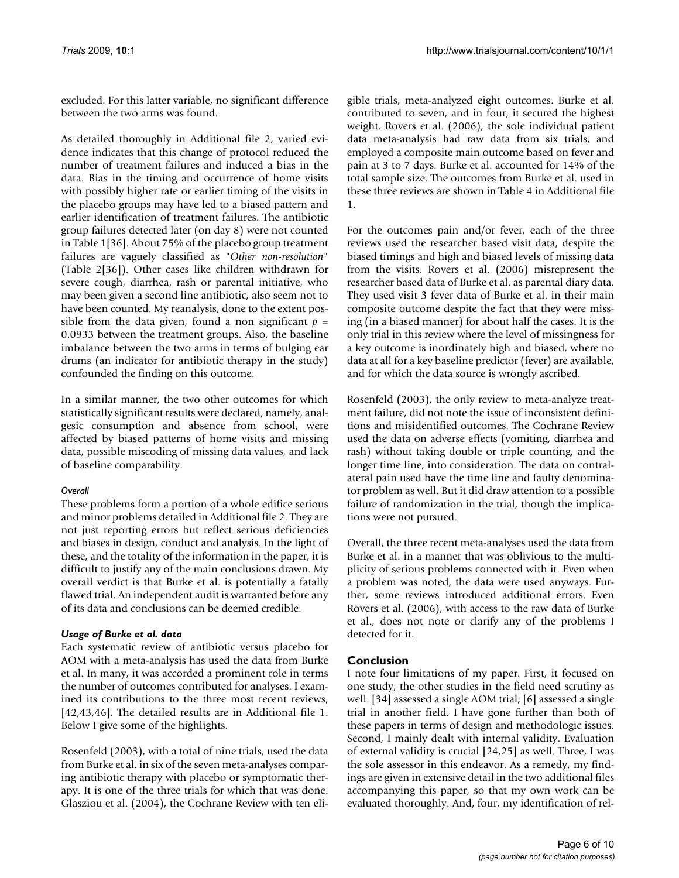excluded. For this latter variable, no significant difference between the two arms was found.

As detailed thoroughly in Additional file [2](#page-8-9), varied evidence indicates that this change of protocol reduced the number of treatment failures and induced a bias in the data. Bias in the timing and occurrence of home visits with possibly higher rate or earlier timing of the visits in the placebo groups may have led to a biased pattern and earlier identification of treatment failures. The antibiotic group failures detected later (on day 8) were not counted in Table [1](#page-2-0)[\[36](#page-9-10)]. About 75% of the placebo group treatment failures are vaguely classified as "*Other non-resolution*" (Table [2](#page-2-1)[\[36](#page-9-10)]). Other cases like children withdrawn for severe cough, diarrhea, rash or parental initiative, who may been given a second line antibiotic, also seem not to have been counted. My reanalysis, done to the extent possible from the data given, found a non significant  $p =$ 0.0933 between the treatment groups. Also, the baseline imbalance between the two arms in terms of bulging ear drums (an indicator for antibiotic therapy in the study) confounded the finding on this outcome.

In a similar manner, the two other outcomes for which statistically significant results were declared, namely, analgesic consumption and absence from school, were affected by biased patterns of home visits and missing data, possible miscoding of missing data values, and lack of baseline comparability.

# *Overall*

These problems form a portion of a whole edifice serious and minor problems detailed in Additional file [2.](#page-8-9) They are not just reporting errors but reflect serious deficiencies and biases in design, conduct and analysis. In the light of these, and the totality of the information in the paper, it is difficult to justify any of the main conclusions drawn. My overall verdict is that Burke et al. is potentially a fatally flawed trial. An independent audit is warranted before any of its data and conclusions can be deemed credible.

# *Usage of Burke et al. data*

Each systematic review of antibiotic versus placebo for AOM with a meta-analysis has used the data from Burke et al. In many, it was accorded a prominent role in terms the number of outcomes contributed for analyses. I examined its contributions to the three most recent reviews, [[42](#page-9-15),[43](#page-9-16)[,46](#page-9-20)]. The detailed results are in Additional file [1.](#page-8-8) Below I give some of the highlights.

Rosenfeld (2003), with a total of nine trials, used the data from Burke et al. in six of the seven meta-analyses comparing antibiotic therapy with placebo or symptomatic therapy. It is one of the three trials for which that was done. Glasziou et al. (2004), the Cochrane Review with ten eligible trials, meta-analyzed eight outcomes. Burke et al. contributed to seven, and in four, it secured the highest weight. Rovers et al. (2006), the sole individual patient data meta-analysis had raw data from six trials, and employed a composite main outcome based on fever and pain at 3 to 7 days. Burke et al. accounted for 14% of the total sample size. The outcomes from Burke et al. used in these three reviews are shown in Table 4 in Additional file [1](#page-8-8).

For the outcomes pain and/or fever, each of the three reviews used the researcher based visit data, despite the biased timings and high and biased levels of missing data from the visits. Rovers et al. (2006) misrepresent the researcher based data of Burke et al. as parental diary data. They used visit 3 fever data of Burke et al. in their main composite outcome despite the fact that they were missing (in a biased manner) for about half the cases. It is the only trial in this review where the level of missingness for a key outcome is inordinately high and biased, where no data at all for a key baseline predictor (fever) are available, and for which the data source is wrongly ascribed.

Rosenfeld (2003), the only review to meta-analyze treatment failure, did not note the issue of inconsistent definitions and misidentified outcomes. The Cochrane Review used the data on adverse effects (vomiting, diarrhea and rash) without taking double or triple counting, and the longer time line, into consideration. The data on contralateral pain used have the time line and faulty denominator problem as well. But it did draw attention to a possible failure of randomization in the trial, though the implications were not pursued.

Overall, the three recent meta-analyses used the data from Burke et al. in a manner that was oblivious to the multiplicity of serious problems connected with it. Even when a problem was noted, the data were used anyways. Further, some reviews introduced additional errors. Even Rovers et al. (2006), with access to the raw data of Burke et al., does not note or clarify any of the problems I detected for it.

# **Conclusion**

I note four limitations of my paper. First, it focused on one study; the other studies in the field need scrutiny as well. [[34](#page-9-8)] assessed a single AOM trial; [\[6\]](#page-8-1) assessed a single trial in another field. I have gone further than both of these papers in terms of design and methodologic issues. Second, I mainly dealt with internal validity. Evaluation of external validity is crucial [[24,](#page-9-22)[25\]](#page-9-23) as well. Three, I was the sole assessor in this endeavor. As a remedy, my findings are given in extensive detail in the two additional files accompanying this paper, so that my own work can be evaluated thoroughly. And, four, my identification of rel-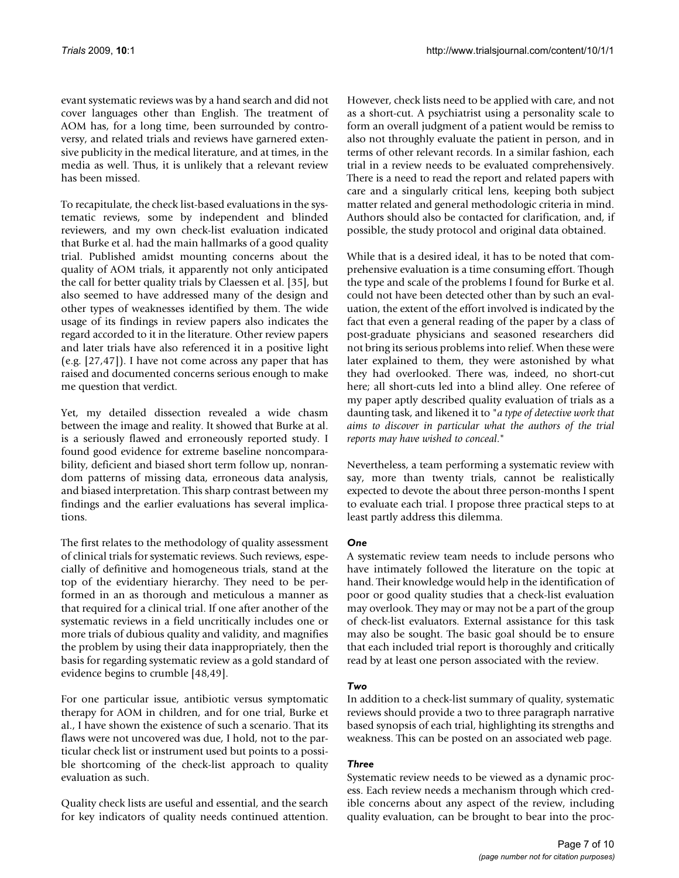evant systematic reviews was by a hand search and did not cover languages other than English. The treatment of AOM has, for a long time, been surrounded by controversy, and related trials and reviews have garnered extensive publicity in the medical literature, and at times, in the media as well. Thus, it is unlikely that a relevant review has been missed.

To recapitulate, the check list-based evaluations in the systematic reviews, some by independent and blinded reviewers, and my own check-list evaluation indicated that Burke et al. had the main hallmarks of a good quality trial. Published amidst mounting concerns about the quality of AOM trials, it apparently not only anticipated the call for better quality trials by Claessen et al. [[35](#page-9-9)], but also seemed to have addressed many of the design and other types of weaknesses identified by them. The wide usage of its findings in review papers also indicates the regard accorded to it in the literature. Other review papers and later trials have also referenced it in a positive light (e.g. [[27,](#page-9-1)[47\]](#page-9-24)). I have not come across any paper that has raised and documented concerns serious enough to make me question that verdict.

Yet, my detailed dissection revealed a wide chasm between the image and reality. It showed that Burke at al. is a seriously flawed and erroneously reported study. I found good evidence for extreme baseline noncomparability, deficient and biased short term follow up, nonrandom patterns of missing data, erroneous data analysis, and biased interpretation. This sharp contrast between my findings and the earlier evaluations has several implications.

The first relates to the methodology of quality assessment of clinical trials for systematic reviews. Such reviews, especially of definitive and homogeneous trials, stand at the top of the evidentiary hierarchy. They need to be performed in an as thorough and meticulous a manner as that required for a clinical trial. If one after another of the systematic reviews in a field uncritically includes one or more trials of dubious quality and validity, and magnifies the problem by using their data inappropriately, then the basis for regarding systematic review as a gold standard of evidence begins to crumble [[48,](#page-9-25)[49](#page-9-26)].

For one particular issue, antibiotic versus symptomatic therapy for AOM in children, and for one trial, Burke et al., I have shown the existence of such a scenario. That its flaws were not uncovered was due, I hold, not to the particular check list or instrument used but points to a possible shortcoming of the check-list approach to quality evaluation as such.

Quality check lists are useful and essential, and the search for key indicators of quality needs continued attention.

However, check lists need to be applied with care, and not as a short-cut. A psychiatrist using a personality scale to form an overall judgment of a patient would be remiss to also not throughly evaluate the patient in person, and in terms of other relevant records. In a similar fashion, each trial in a review needs to be evaluated comprehensively. There is a need to read the report and related papers with care and a singularly critical lens, keeping both subject matter related and general methodologic criteria in mind. Authors should also be contacted for clarification, and, if possible, the study protocol and original data obtained.

While that is a desired ideal, it has to be noted that comprehensive evaluation is a time consuming effort. Though the type and scale of the problems I found for Burke et al. could not have been detected other than by such an evaluation, the extent of the effort involved is indicated by the fact that even a general reading of the paper by a class of post-graduate physicians and seasoned researchers did not bring its serious problems into relief. When these were later explained to them, they were astonished by what they had overlooked. There was, indeed, no short-cut here; all short-cuts led into a blind alley. One referee of my paper aptly described quality evaluation of trials as a daunting task, and likened it to "*a type of detective work that aims to discover in particular what the authors of the trial reports may have wished to conceal*."

Nevertheless, a team performing a systematic review with say, more than twenty trials, cannot be realistically expected to devote the about three person-months I spent to evaluate each trial. I propose three practical steps to at least partly address this dilemma.

# *One*

A systematic review team needs to include persons who have intimately followed the literature on the topic at hand. Their knowledge would help in the identification of poor or good quality studies that a check-list evaluation may overlook. They may or may not be a part of the group of check-list evaluators. External assistance for this task may also be sought. The basic goal should be to ensure that each included trial report is thoroughly and critically read by at least one person associated with the review.

## *Two*

In addition to a check-list summary of quality, systematic reviews should provide a two to three paragraph narrative based synopsis of each trial, highlighting its strengths and weakness. This can be posted on an associated web page.

## *Three*

Systematic review needs to be viewed as a dynamic process. Each review needs a mechanism through which credible concerns about any aspect of the review, including quality evaluation, can be brought to bear into the proc-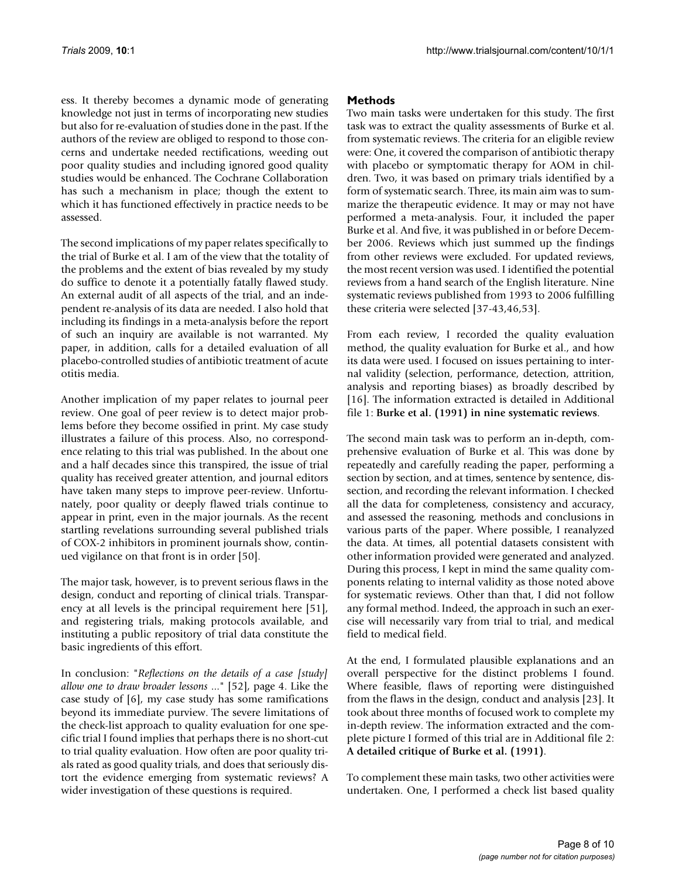ess. It thereby becomes a dynamic mode of generating knowledge not just in terms of incorporating new studies but also for re-evaluation of studies done in the past. If the authors of the review are obliged to respond to those concerns and undertake needed rectifications, weeding out poor quality studies and including ignored good quality studies would be enhanced. The Cochrane Collaboration has such a mechanism in place; though the extent to which it has functioned effectively in practice needs to be assessed.

The second implications of my paper relates specifically to the trial of Burke et al. I am of the view that the totality of the problems and the extent of bias revealed by my study do suffice to denote it a potentially fatally flawed study. An external audit of all aspects of the trial, and an independent re-analysis of its data are needed. I also hold that including its findings in a meta-analysis before the report of such an inquiry are available is not warranted. My paper, in addition, calls for a detailed evaluation of all placebo-controlled studies of antibiotic treatment of acute otitis media.

Another implication of my paper relates to journal peer review. One goal of peer review is to detect major problems before they become ossified in print. My case study illustrates a failure of this process. Also, no correspondence relating to this trial was published. In the about one and a half decades since this transpired, the issue of trial quality has received greater attention, and journal editors have taken many steps to improve peer-review. Unfortunately, poor quality or deeply flawed trials continue to appear in print, even in the major journals. As the recent startling revelations surrounding several published trials of COX-2 inhibitors in prominent journals show, continued vigilance on that front is in order [\[50](#page-9-27)].

The major task, however, is to prevent serious flaws in the design, conduct and reporting of clinical trials. Transparency at all levels is the principal requirement here [\[51](#page-9-28)], and registering trials, making protocols available, and instituting a public repository of trial data constitute the basic ingredients of this effort.

In conclusion: "*Reflections on the details of a case [study] allow one to draw broader lessons* ..." [[52\]](#page-9-29), page 4. Like the case study of [[6](#page-8-1)], my case study has some ramifications beyond its immediate purview. The severe limitations of the check-list approach to quality evaluation for one specific trial I found implies that perhaps there is no short-cut to trial quality evaluation. How often are poor quality trials rated as good quality trials, and does that seriously distort the evidence emerging from systematic reviews? A wider investigation of these questions is required.

# **Methods**

Two main tasks were undertaken for this study. The first task was to extract the quality assessments of Burke et al. from systematic reviews. The criteria for an eligible review were: One, it covered the comparison of antibiotic therapy with placebo or symptomatic therapy for AOM in children. Two, it was based on primary trials identified by a form of systematic search. Three, its main aim was to summarize the therapeutic evidence. It may or may not have performed a meta-analysis. Four, it included the paper Burke et al. And five, it was published in or before December 2006. Reviews which just summed up the findings from other reviews were excluded. For updated reviews, the most recent version was used. I identified the potential reviews from a hand search of the English literature. Nine systematic reviews published from 1993 to 2006 fulfilling these criteria were selected [[37-](#page-9-11)[43,](#page-9-16)[46](#page-9-20),[53](#page-9-19)].

From each review, I recorded the quality evaluation method, the quality evaluation for Burke et al., and how its data were used. I focused on issues pertaining to internal validity (selection, performance, detection, attrition, analysis and reporting biases) as broadly described by [[16](#page-8-6)]. The information extracted is detailed in Additional file [1](#page-8-8): **Burke et al. (1991) in nine systematic reviews**.

The second main task was to perform an in-depth, comprehensive evaluation of Burke et al. This was done by repeatedly and carefully reading the paper, performing a section by section, and at times, sentence by sentence, dissection, and recording the relevant information. I checked all the data for completeness, consistency and accuracy, and assessed the reasoning, methods and conclusions in various parts of the paper. Where possible, I reanalyzed the data. At times, all potential datasets consistent with other information provided were generated and analyzed. During this process, I kept in mind the same quality components relating to internal validity as those noted above for systematic reviews. Other than that, I did not follow any formal method. Indeed, the approach in such an exercise will necessarily vary from trial to trial, and medical field to medical field.

At the end, I formulated plausible explanations and an overall perspective for the distinct problems I found. Where feasible, flaws of reporting were distinguished from the flaws in the design, conduct and analysis [[23](#page-9-30)]. It took about three months of focused work to complete my in-depth review. The information extracted and the complete picture I formed of this trial are in Additional file [2:](#page-8-9) **A detailed critique of Burke et al. (1991)**.

To complement these main tasks, two other activities were undertaken. One, I performed a check list based quality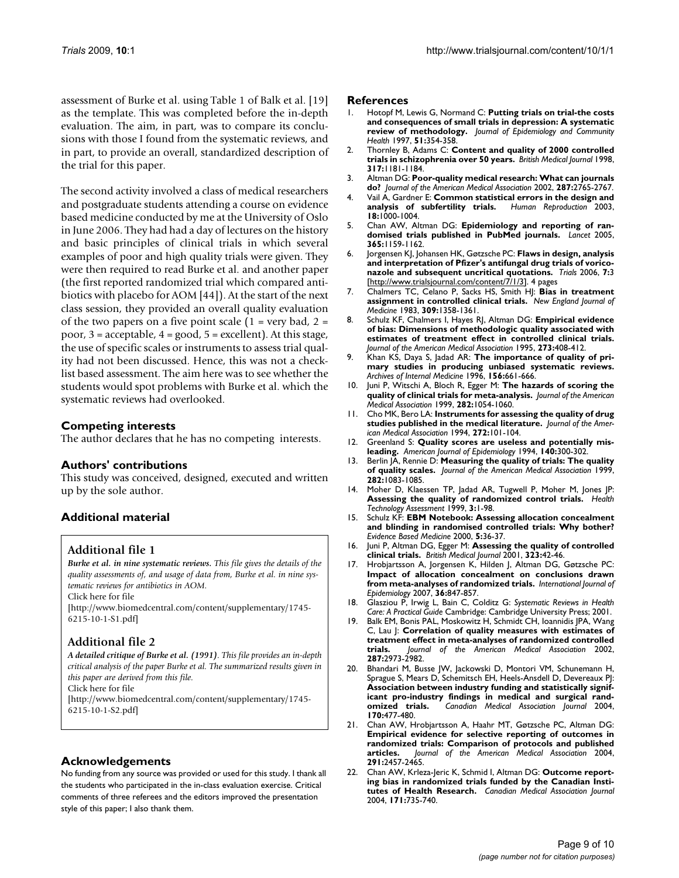assessment of Burke et al. using Table [1](#page-2-0) of Balk et al. [[19\]](#page-8-7) as the template. This was completed before the in-depth evaluation. The aim, in part, was to compare its conclusions with those I found from the systematic reviews, and in part, to provide an overall, standardized description of the trial for this paper.

The second activity involved a class of medical researchers and postgraduate students attending a course on evidence based medicine conducted by me at the University of Oslo in June 2006. They had had a day of lectures on the history and basic principles of clinical trials in which several examples of poor and high quality trials were given. They were then required to read Burke et al. and another paper (the first reported randomized trial which compared antibiotics with placebo for AOM [\[44\]](#page-9-17)). At the start of the next class session, they provided an overall quality evaluation of the two papers on a five point scale  $(1 = \text{very bad}, 2 =$ poor,  $3 =$  acceptable,  $4 =$  good,  $5 =$  excellent). At this stage, the use of specific scales or instruments to assess trial quality had not been discussed. Hence, this was not a checklist based assessment. The aim here was to see whether the students would spot problems with Burke et al. which the systematic reviews had overlooked.

## **Competing interests**

The author declares that he has no competing interests.

## **Authors' contributions**

This study was conceived, designed, executed and written up by the sole author.

# **Additional material**

## <span id="page-8-8"></span>**Additional file 1**

*Burke et al. in nine systematic reviews. This file gives the details of the quality assessments of, and usage of data from, Burke et al. in nine systematic reviews for antibiotics in AOM.*

Click here for file

[\[http://www.biomedcentral.com/content/supplementary/1745-](http://www.biomedcentral.com/content/supplementary/1745-6215-10-1-S1.pdf) 6215-10-1-S1.pdf]

# <span id="page-8-9"></span>**Additional file 2**

*A detailed critique of Burke et al. (1991). This file provides an in-depth critical analysis of the paper Burke et al. The summarized results given in this paper are derived from this file.*

Click here for file

[\[http://www.biomedcentral.com/content/supplementary/1745-](http://www.biomedcentral.com/content/supplementary/1745-6215-10-1-S2.pdf) 6215-10-1-S2.pdf]

# **Acknowledgements**

No funding from any source was provided or used for this study. I thank all the students who participated in the in-class evaluation exercise. Critical comments of three referees and the editors improved the presentation style of this paper; I also thank them.

#### **References**

- <span id="page-8-0"></span>1. Hotopf M, Lewis G, Normand C: **Putting trials on trial-the costs and consequences of small trials in depression: A systematic review of methodology.** *Journal of Epidemiology and Community Health* 1997, **51:**354-358.
- 2. Thornley B, Adams C: **[Content and quality of 2000 controlled](http://www.ncbi.nlm.nih.gov/entrez/query.fcgi?cmd=Retrieve&db=PubMed&dopt=Abstract&list_uids=9794850) [trials in schizophrenia over 50 years.](http://www.ncbi.nlm.nih.gov/entrez/query.fcgi?cmd=Retrieve&db=PubMed&dopt=Abstract&list_uids=9794850)** *British Medical Journal* 1998, **317:**1181-1184.
- 3. Altman DG: **[Poor-quality medical research: What can journals](http://www.ncbi.nlm.nih.gov/entrez/query.fcgi?cmd=Retrieve&db=PubMed&dopt=Abstract&list_uids=12038906) [do?](http://www.ncbi.nlm.nih.gov/entrez/query.fcgi?cmd=Retrieve&db=PubMed&dopt=Abstract&list_uids=12038906)** *Journal of the American Medical Association* 2002, **287:**2765-2767.
- 4. Vail A, Gardner E: **[Common statistical errors in the design and](http://www.ncbi.nlm.nih.gov/entrez/query.fcgi?cmd=Retrieve&db=PubMed&dopt=Abstract&list_uids=12721176)** [analysis of subfertility trials.](http://www.ncbi.nlm.nih.gov/entrez/query.fcgi?cmd=Retrieve&db=PubMed&dopt=Abstract&list_uids=12721176) **18:**1000-1004.
- 5. Chan AW, Altman DG: **[Epidemiology and reporting of ran](http://www.ncbi.nlm.nih.gov/entrez/query.fcgi?cmd=Retrieve&db=PubMed&dopt=Abstract&list_uids=15794971)[domised trials published in PubMed journals.](http://www.ncbi.nlm.nih.gov/entrez/query.fcgi?cmd=Retrieve&db=PubMed&dopt=Abstract&list_uids=15794971)** *Lancet* 2005, **365:**1159-1162.
- <span id="page-8-1"></span>6. Jorgensen KJ, Johansen HK, Gøtzsche PC: **[Flaws in design, analysis](http://www.ncbi.nlm.nih.gov/entrez/query.fcgi?cmd=Retrieve&db=PubMed&dopt=Abstract&list_uids=16542031) [and interpretation of Pfizer's antifungal drug trials of vorico](http://www.ncbi.nlm.nih.gov/entrez/query.fcgi?cmd=Retrieve&db=PubMed&dopt=Abstract&list_uids=16542031)[nazole and subsequent uncritical quotations.](http://www.ncbi.nlm.nih.gov/entrez/query.fcgi?cmd=Retrieve&db=PubMed&dopt=Abstract&list_uids=16542031)** *Trials* 2006, **7:**3 [[http://www.trialsjournal.com/content/7/1/3\]](http://www.trialsjournal.com/content/7/1/3). 4 pages
- <span id="page-8-2"></span>7. Chalmers TC, Celano P, Sacks HS, Smith HJ: **[Bias in treatment](http://www.ncbi.nlm.nih.gov/entrez/query.fcgi?cmd=Retrieve&db=PubMed&dopt=Abstract&list_uids=6633598) [assignment in controlled clinical trials.](http://www.ncbi.nlm.nih.gov/entrez/query.fcgi?cmd=Retrieve&db=PubMed&dopt=Abstract&list_uids=6633598)** *New England Journal of Medicine* 1983, **309:**1358-1361.
- 8. Schulz KF, Chalmers I, Hayes RJ, Altman DG: **[Empirical evidence](http://www.ncbi.nlm.nih.gov/entrez/query.fcgi?cmd=Retrieve&db=PubMed&dopt=Abstract&list_uids=7823387) [of bias: Dimensions of methodologic quality associated with](http://www.ncbi.nlm.nih.gov/entrez/query.fcgi?cmd=Retrieve&db=PubMed&dopt=Abstract&list_uids=7823387) estimates of treatment effect in controlled clinical trials.** *Journal of the American Medical Association* 1995, **273:**408-412.
- 9. Khan KS, Daya S, Jadad AR: **[The importance of quality of pri](http://www.ncbi.nlm.nih.gov/entrez/query.fcgi?cmd=Retrieve&db=PubMed&dopt=Abstract&list_uids=8629879)[mary studies in producing unbiased systematic reviews.](http://www.ncbi.nlm.nih.gov/entrez/query.fcgi?cmd=Retrieve&db=PubMed&dopt=Abstract&list_uids=8629879)** *Archives of Internal Medicine* 1996, **156:**661-666.
- <span id="page-8-3"></span>10. Juni P, Witschi A, Bloch R, Egger M: **[The hazards of scoring the](http://www.ncbi.nlm.nih.gov/entrez/query.fcgi?cmd=Retrieve&db=PubMed&dopt=Abstract&list_uids=10493204) [quality of clinical trials for meta-analysis.](http://www.ncbi.nlm.nih.gov/entrez/query.fcgi?cmd=Retrieve&db=PubMed&dopt=Abstract&list_uids=10493204)** *Journal of the American Medical Association* 1999, **282:**1054-1060.
- 11. Cho MK, Bero LA: **[Instruments for assessing the quality of drug](http://www.ncbi.nlm.nih.gov/entrez/query.fcgi?cmd=Retrieve&db=PubMed&dopt=Abstract&list_uids=8015115) [studies published in the medical literature.](http://www.ncbi.nlm.nih.gov/entrez/query.fcgi?cmd=Retrieve&db=PubMed&dopt=Abstract&list_uids=8015115)** *Journal of the American Medical Association* 1994, **272:**101-104.
- 12. Greenland S: **Quality scores are useless and potentially misleading.** *American Journal of Epidemiology* 1994, **140:**300-302.
- 13. Berlin JA, Rennie D: **[Measuring the quality of trials: The quality](http://www.ncbi.nlm.nih.gov/entrez/query.fcgi?cmd=Retrieve&db=PubMed&dopt=Abstract&list_uids=10493209) [of quality scales.](http://www.ncbi.nlm.nih.gov/entrez/query.fcgi?cmd=Retrieve&db=PubMed&dopt=Abstract&list_uids=10493209)** *Journal of the American Medical Association* 1999, **282:**1083-1085.
- 14. Moher D, Klaessen TP, Jadad AR, Tugwell P, Moher M, Jones JP: **Assessing the quality of randomized control trials.** *Health Technology Assessment* 1999, **3:**1-98.
- 15. Schulz KF: **EBM Notebook: Assessing allocation concealment and blinding in randomised controlled trials: Why bother?** *Evidence Based Medicine* 2000, **5:**36-37.
- <span id="page-8-6"></span>16. Juni P, Altman DG, Egger M: **[Assessing the quality of controlled](http://www.ncbi.nlm.nih.gov/entrez/query.fcgi?cmd=Retrieve&db=PubMed&dopt=Abstract&list_uids=11440947) [clinical trials.](http://www.ncbi.nlm.nih.gov/entrez/query.fcgi?cmd=Retrieve&db=PubMed&dopt=Abstract&list_uids=11440947)** *British Medical Journal* 2001, **323:**42-46.
- <span id="page-8-4"></span>17. Hrobjartsson A, Jorgensen K, Hilden J, Altman DG, Gøtzsche PC: **[Impact of allocation concealment on conclusions drawn](http://www.ncbi.nlm.nih.gov/entrez/query.fcgi?cmd=Retrieve&db=PubMed&dopt=Abstract&list_uids=17517809) [from meta-analyses of randomized trials.](http://www.ncbi.nlm.nih.gov/entrez/query.fcgi?cmd=Retrieve&db=PubMed&dopt=Abstract&list_uids=17517809)** *International Journal of Epidemiology* 2007, **36:**847-857.
- <span id="page-8-5"></span>18. Glasziou P, Irwig L, Bain C, Colditz G: *Systematic Reviews in Health Care: A Practical Guide* Cambridge: Cambridge University Press; 2001.
- <span id="page-8-7"></span>19. Balk EM, Bonis PAL, Moskowitz H, Schmidt CH, Ioannidis JPA, Wang C, Lau J: **[Correlation of quality measures with estimates of](http://www.ncbi.nlm.nih.gov/entrez/query.fcgi?cmd=Retrieve&db=PubMed&dopt=Abstract&list_uids=12052127) [treatment effect in meta-analyses of randomized controlled](http://www.ncbi.nlm.nih.gov/entrez/query.fcgi?cmd=Retrieve&db=PubMed&dopt=Abstract&list_uids=12052127) [trials.](http://www.ncbi.nlm.nih.gov/entrez/query.fcgi?cmd=Retrieve&db=PubMed&dopt=Abstract&list_uids=12052127)** *Journal of the American Medical Association* 2002, **287:**2973-2982.
- 20. Bhandari M, Busse JW, Jackowski D, Montori VM, Schunemann H, Sprague S, Mears D, Schemitsch EH, Heels-Ansdell D, Devereaux PJ: **[Association between industry funding and statistically signif](http://www.ncbi.nlm.nih.gov/entrez/query.fcgi?cmd=Retrieve&db=PubMed&dopt=Abstract&list_uids=14970094)icant pro-industry findings in medical and surgical rand[omized trials.](http://www.ncbi.nlm.nih.gov/entrez/query.fcgi?cmd=Retrieve&db=PubMed&dopt=Abstract&list_uids=14970094)** *Canadian Medical Association Journal* 2004, **170:**477-480.
- 21. Chan AW, Hrobjartsson A, Haahr MT, Gøtzsche PC, Altman DG: **[Empirical evidence for selective reporting of outcomes in](http://www.ncbi.nlm.nih.gov/entrez/query.fcgi?cmd=Retrieve&db=PubMed&dopt=Abstract&list_uids=15161896) randomized trials: Comparison of protocols and published [articles.](http://www.ncbi.nlm.nih.gov/entrez/query.fcgi?cmd=Retrieve&db=PubMed&dopt=Abstract&list_uids=15161896)** *Journal of the American Medical Association* 2004, **291:**2457-2465.
- 22. Chan AW, Krleza-Jeric K, Schmid I, Altman DG: **[Outcome report](http://www.ncbi.nlm.nih.gov/entrez/query.fcgi?cmd=Retrieve&db=PubMed&dopt=Abstract&list_uids=15451835)[ing bias in randomized trials funded by the Canadian Insti](http://www.ncbi.nlm.nih.gov/entrez/query.fcgi?cmd=Retrieve&db=PubMed&dopt=Abstract&list_uids=15451835)[tutes of Health Research.](http://www.ncbi.nlm.nih.gov/entrez/query.fcgi?cmd=Retrieve&db=PubMed&dopt=Abstract&list_uids=15451835)** *Canadian Medical Association Journal* 2004, **171:**735-740.